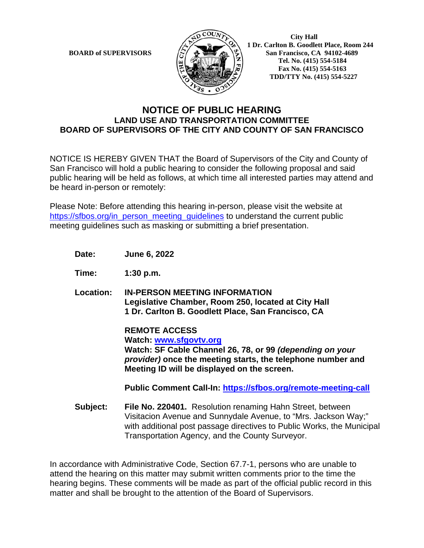

**BOARD of SUPERVISORS**  $\left(\frac{1}{2}\right)$  **1 Dr.** Carlton B. Goodlett Place, Room 244 **San Francisco, CA 94102-4689 Tel. No. (415) 554-5184 Fax No. (415) 554-5163 TDD/TTY No. (415) 554-5227** 

## **NOTICE OF PUBLIC HEARING LAND USE AND TRANSPORTATION COMMITTEE BOARD OF SUPERVISORS OF THE CITY AND COUNTY OF SAN FRANCISCO**

NOTICE IS HEREBY GIVEN THAT the Board of Supervisors of the City and County of San Francisco will hold a public hearing to consider the following proposal and said public hearing will be held as follows, at which time all interested parties may attend and be heard in-person or remotely:

Please Note: Before attending this hearing in-person, please visit the website at https://sfbos.org/in\_person\_meeting\_guidelines to understand the current public meeting guidelines such as masking or submitting a brief presentation.

**Date: June 6, 2022** 

**Time: 1:30 p.m.**

**Location: IN-PERSON MEETING INFORMATION Legislative Chamber, Room 250, located at City Hall 1 Dr. Carlton B. Goodlett Place, San Francisco, CA**

> **REMOTE ACCESS Watch: www.sfgovtv.org Watch: SF Cable Channel 26, 78, or 99** *(depending on your provider)* **once the meeting starts, the telephone number and Meeting ID will be displayed on the screen.**

**Public Comment Call-In: https://sfbos.org/remote-meeting-call** 

**Subject: File No. 220401.** Resolution renaming Hahn Street, between Visitacion Avenue and Sunnydale Avenue, to "Mrs. Jackson Way;" with additional post passage directives to Public Works, the Municipal Transportation Agency, and the County Surveyor.

In accordance with Administrative Code, Section 67.7-1, persons who are unable to attend the hearing on this matter may submit written comments prior to the time the hearing begins. These comments will be made as part of the official public record in this matter and shall be brought to the attention of the Board of Supervisors.